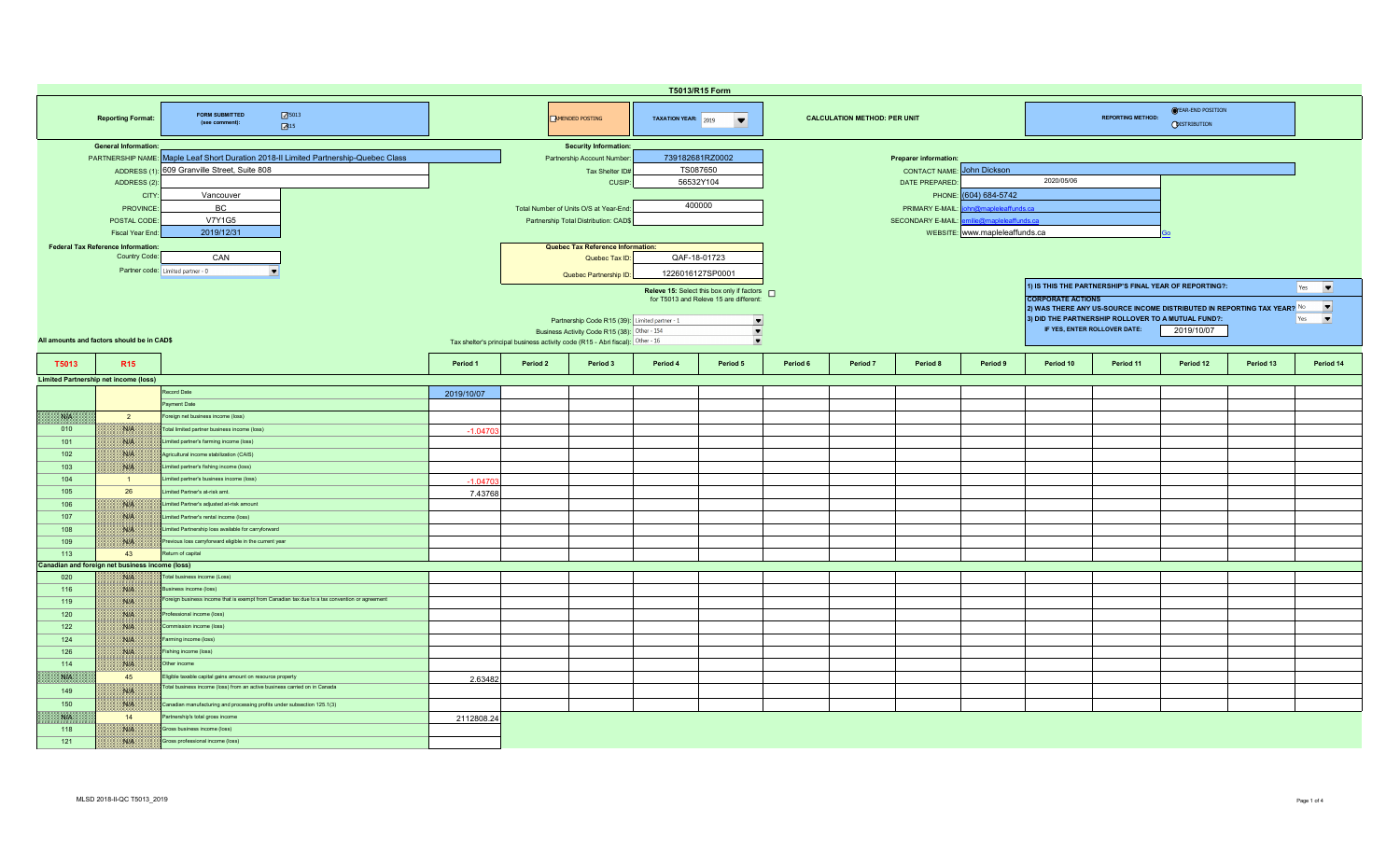|                                                                                              | T5013/R15 Form                                  |                                                                                               |            |                                                                                |                                                |                  |                                                                                        |          |          |                              |                                |                                                                               |                                                                                                    |                                                        |           |                                 |  |  |
|----------------------------------------------------------------------------------------------|-------------------------------------------------|-----------------------------------------------------------------------------------------------|------------|--------------------------------------------------------------------------------|------------------------------------------------|------------------|----------------------------------------------------------------------------------------|----------|----------|------------------------------|--------------------------------|-------------------------------------------------------------------------------|----------------------------------------------------------------------------------------------------|--------------------------------------------------------|-----------|---------------------------------|--|--|
| 75013<br><b>FORM SUBMITTED</b><br><b>Reporting Format:</b><br>(see comment):<br>$\sqrt{3}15$ |                                                 |                                                                                               |            |                                                                                | <b>EMENDED POSTING</b>                         |                  | TAXATION YEAR: 2019<br><b>CALCULATION METHOD: PER UNIT</b><br>$\overline{\phantom{a}}$ |          |          |                              |                                | <b>OYEAR-END POSITION</b><br><b>REPORTING METHOD:</b><br><b>ODISTRIBUTION</b> |                                                                                                    |                                                        |           |                                 |  |  |
|                                                                                              | <b>General Information:</b>                     |                                                                                               |            |                                                                                | <b>Security Information:</b>                   |                  |                                                                                        |          |          |                              |                                |                                                                               |                                                                                                    |                                                        |           |                                 |  |  |
|                                                                                              |                                                 | PARTNERSHIP NAME: Maple Leaf Short Duration 2018-II Limited Partnership-Quebec Class          |            |                                                                                | Partnership Account Number:                    | 739182681RZ0002  |                                                                                        |          |          | <b>Preparer information:</b> |                                |                                                                               |                                                                                                    |                                                        |           |                                 |  |  |
|                                                                                              |                                                 | ADDRESS (1): 609 Granville Street, Suite 808                                                  |            |                                                                                | Tax Shelter ID#                                | TS087650         |                                                                                        |          |          | <b>CONTACT NAME:</b>         | John Dickson                   |                                                                               |                                                                                                    |                                                        |           |                                 |  |  |
|                                                                                              | ADDRESS (2):                                    |                                                                                               |            |                                                                                | CUSIP:                                         | 56532Y104        |                                                                                        |          |          | DATE PREPARED:               |                                | 2020/05/06                                                                    |                                                                                                    |                                                        |           |                                 |  |  |
|                                                                                              | CITY                                            | Vancouver                                                                                     |            |                                                                                |                                                |                  |                                                                                        |          |          |                              | PHONE: (604) 684-5742          |                                                                               |                                                                                                    |                                                        |           |                                 |  |  |
|                                                                                              | <b>PROVINCE</b>                                 | BC                                                                                            |            |                                                                                | Total Number of Units O/S at Year-End:         | 400000           |                                                                                        |          |          | PRIMARY E-MAIL               | <b>Mmanleleaffunds</b> ca      |                                                                               |                                                                                                    |                                                        |           |                                 |  |  |
|                                                                                              | POSTAL CODE                                     | <b>V7Y1G5</b>                                                                                 |            |                                                                                | Partnership Total Distribution: CAD\$          |                  |                                                                                        |          |          | <b>SECONDARY E-MAIL:</b>     | hilie@mapleleaffunds.ca        |                                                                               |                                                                                                    |                                                        |           |                                 |  |  |
|                                                                                              | Fiscal Year End                                 | 2019/12/31                                                                                    |            |                                                                                |                                                |                  |                                                                                        |          |          |                              | WEBSITE: www.mapleleaffunds.ca |                                                                               |                                                                                                    |                                                        |           |                                 |  |  |
|                                                                                              | <b>Federal Tax Reference Information:</b>       |                                                                                               |            |                                                                                | Quebec Tax Reference Information:              |                  |                                                                                        |          |          |                              |                                |                                                                               |                                                                                                    |                                                        |           |                                 |  |  |
|                                                                                              | Country Code:                                   | CAN                                                                                           |            |                                                                                | Quebec Tax ID:                                 | QAF-18-01723     |                                                                                        |          |          |                              |                                |                                                                               |                                                                                                    |                                                        |           |                                 |  |  |
|                                                                                              |                                                 | Partner code: Limited partner - 0<br>$\overline{\phantom{a}}$                                 |            |                                                                                | Quebec Partnership ID:                         | 1226016127SP0001 |                                                                                        |          |          |                              |                                |                                                                               |                                                                                                    |                                                        |           |                                 |  |  |
|                                                                                              |                                                 |                                                                                               |            |                                                                                |                                                |                  | Releve 15: Select this box only if factors n                                           |          |          |                              |                                |                                                                               |                                                                                                    | 1) IS THIS THE PARTNERSHIP'S FINAL YEAR OF REPORTING?: |           | $Yes \qquad \blacktriangledown$ |  |  |
|                                                                                              |                                                 |                                                                                               |            |                                                                                |                                                |                  | for T5013 and Releve 15 are different:                                                 |          |          |                              |                                | <b>CORPORATE ACTIONS</b>                                                      |                                                                                                    |                                                        |           |                                 |  |  |
|                                                                                              |                                                 |                                                                                               |            |                                                                                |                                                |                  |                                                                                        |          |          |                              |                                |                                                                               | $\blacksquare$<br>2) WAS THERE ANY US-SOURCE INCOME DISTRIBUTED IN REPORTING TAX YEAR? $^{\sf No}$ |                                                        |           |                                 |  |  |
|                                                                                              |                                                 |                                                                                               |            |                                                                                | Partnership Code R15 (39): Limited partner - 1 |                  | $\overline{\phantom{a}}$                                                               |          |          |                              |                                |                                                                               | IF YES, ENTER ROLLOVER DATE:                                                                       | 3) DID THE PARTNERSHIP ROLLOVER TO A MUTUAL FUND?:     |           | $\overline{\phantom{a}}$<br>Yes |  |  |
|                                                                                              | All amounts and factors should be in CAD\$      |                                                                                               |            | Tax shelter's principal business activity code (R15 - Abri fiscal): Other - 16 | Business Activity Code R15 (38): Other - 154   |                  | $\blacksquare$<br>$\blacktriangledown$                                                 |          |          |                              |                                |                                                                               |                                                                                                    | 2019/10/07                                             |           |                                 |  |  |
|                                                                                              |                                                 |                                                                                               |            |                                                                                |                                                |                  |                                                                                        |          |          |                              |                                |                                                                               |                                                                                                    |                                                        |           |                                 |  |  |
| T5013                                                                                        | R <sub>15</sub>                                 |                                                                                               | Period 1   | Period 2                                                                       | Period 3                                       | Period 4         | Period 5                                                                               | Period 6 | Period 7 | Period 8                     | Period 9                       | Period 10                                                                     | Period 11                                                                                          | Period 12                                              | Period 13 | Period 14                       |  |  |
|                                                                                              | <b>Limited Partnership net income (loss)</b>    |                                                                                               |            |                                                                                |                                                |                  |                                                                                        |          |          |                              |                                |                                                                               |                                                                                                    |                                                        |           |                                 |  |  |
|                                                                                              |                                                 | Record Date                                                                                   | 2019/10/07 |                                                                                |                                                |                  |                                                                                        |          |          |                              |                                |                                                                               |                                                                                                    |                                                        |           |                                 |  |  |
|                                                                                              |                                                 | Payment Date                                                                                  |            |                                                                                |                                                |                  |                                                                                        |          |          |                              |                                |                                                                               |                                                                                                    |                                                        |           |                                 |  |  |
| NB                                                                                           | $\overline{2}$                                  | Foreign net business income (loss)                                                            |            |                                                                                |                                                |                  |                                                                                        |          |          |                              |                                |                                                                               |                                                                                                    |                                                        |           |                                 |  |  |
| 010                                                                                          | NIA                                             | Total limited partner business income (loss)                                                  | $-1.0470$  |                                                                                |                                                |                  |                                                                                        |          |          |                              |                                |                                                                               |                                                                                                    |                                                        |           |                                 |  |  |
| 101                                                                                          | WA                                              | Limited partner's farming income (loss)                                                       |            |                                                                                |                                                |                  |                                                                                        |          |          |                              |                                |                                                                               |                                                                                                    |                                                        |           |                                 |  |  |
| 102                                                                                          | WE                                              | Agricultural income stabilization (CAIS)                                                      |            |                                                                                |                                                |                  |                                                                                        |          |          |                              |                                |                                                                               |                                                                                                    |                                                        |           |                                 |  |  |
| 103                                                                                          | NG                                              | Limited partner's fishing income (loss)                                                       |            |                                                                                |                                                |                  |                                                                                        |          |          |                              |                                |                                                                               |                                                                                                    |                                                        |           |                                 |  |  |
| 104                                                                                          | $\overline{1}$                                  | imited partner's business income (loss)                                                       | $-1.0470$  |                                                                                |                                                |                  |                                                                                        |          |          |                              |                                |                                                                               |                                                                                                    |                                                        |           |                                 |  |  |
| 105                                                                                          | 26                                              | imited Partner's at-risk amt.                                                                 | 7.43768    |                                                                                |                                                |                  |                                                                                        |          |          |                              |                                |                                                                               |                                                                                                    |                                                        |           |                                 |  |  |
| 106                                                                                          | W                                               | imited Partner's adjusted at-risk amount                                                      |            |                                                                                |                                                |                  |                                                                                        |          |          |                              |                                |                                                                               |                                                                                                    |                                                        |           |                                 |  |  |
| 107                                                                                          | NIK                                             | imited Partner's rental income (loss)                                                         |            |                                                                                |                                                |                  |                                                                                        |          |          |                              |                                |                                                                               |                                                                                                    |                                                        |           |                                 |  |  |
| 108                                                                                          | NIA                                             | Limited Partnership loss available for carryforward                                           |            |                                                                                |                                                |                  |                                                                                        |          |          |                              |                                |                                                                               |                                                                                                    |                                                        |           |                                 |  |  |
| 109                                                                                          | <b>WHEN</b>                                     | Previous loss carryforward eligible in the current year                                       |            |                                                                                |                                                |                  |                                                                                        |          |          |                              |                                |                                                                               |                                                                                                    |                                                        |           |                                 |  |  |
| 113                                                                                          | 43                                              | Return of capital                                                                             |            |                                                                                |                                                |                  |                                                                                        |          |          |                              |                                |                                                                               |                                                                                                    |                                                        |           |                                 |  |  |
|                                                                                              | Canadian and foreign net business income (loss) |                                                                                               |            |                                                                                |                                                |                  |                                                                                        |          |          |                              |                                |                                                                               |                                                                                                    |                                                        |           |                                 |  |  |
| 020                                                                                          | NIK                                             | Total business income (Loss)                                                                  |            |                                                                                |                                                |                  |                                                                                        |          |          |                              |                                |                                                                               |                                                                                                    |                                                        |           |                                 |  |  |
| 116                                                                                          | NA                                              | siness income (loss)                                                                          |            |                                                                                |                                                |                  |                                                                                        |          |          |                              |                                |                                                                               |                                                                                                    |                                                        |           |                                 |  |  |
| 119                                                                                          | W                                               | Foreign business income that is exempt from Canadian tax due to a tax convention or agreement |            |                                                                                |                                                |                  |                                                                                        |          |          |                              |                                |                                                                               |                                                                                                    |                                                        |           |                                 |  |  |
| 120                                                                                          | <b>SIE</b>                                      | Professional income (loss)                                                                    |            |                                                                                |                                                |                  |                                                                                        |          |          |                              |                                |                                                                               |                                                                                                    |                                                        |           |                                 |  |  |
| 122                                                                                          | NIA                                             | Commission income (loss)                                                                      |            |                                                                                |                                                |                  |                                                                                        |          |          |                              |                                |                                                                               |                                                                                                    |                                                        |           |                                 |  |  |
| 124                                                                                          | NIA                                             | Farming income (loss)                                                                         |            |                                                                                |                                                |                  |                                                                                        |          |          |                              |                                |                                                                               |                                                                                                    |                                                        |           |                                 |  |  |
| 126                                                                                          | Nitk                                            | Fishing income (loss)                                                                         |            |                                                                                |                                                |                  |                                                                                        |          |          |                              |                                |                                                                               |                                                                                                    |                                                        |           |                                 |  |  |
| 114                                                                                          | Nich                                            | Other income                                                                                  |            |                                                                                |                                                |                  |                                                                                        |          |          |                              |                                |                                                                               |                                                                                                    |                                                        |           |                                 |  |  |
| <b>SALA</b>                                                                                  | 45                                              | Eligible taxable capital gains amount on resource property                                    | 2.63482    |                                                                                |                                                |                  |                                                                                        |          |          |                              |                                |                                                                               |                                                                                                    |                                                        |           |                                 |  |  |
| 149                                                                                          | NIA                                             | l'otal business income (loss) from an active business carried on in Canada                    |            |                                                                                |                                                |                  |                                                                                        |          |          |                              |                                |                                                                               |                                                                                                    |                                                        |           |                                 |  |  |
| 150                                                                                          | W                                               | Canadian manufacturing and processing profits under subsection 125.1(3)                       |            |                                                                                |                                                |                  |                                                                                        |          |          |                              |                                |                                                                               |                                                                                                    |                                                        |           |                                 |  |  |
| NP                                                                                           | 14                                              | Partnership's total gross income                                                              | 2112808.24 |                                                                                |                                                |                  |                                                                                        |          |          |                              |                                |                                                                               |                                                                                                    |                                                        |           |                                 |  |  |
| 118                                                                                          | NIA                                             | Gross business income (loss)                                                                  |            |                                                                                |                                                |                  |                                                                                        |          |          |                              |                                |                                                                               |                                                                                                    |                                                        |           |                                 |  |  |
| 121                                                                                          | WA                                              | Gross professional income (loss)                                                              |            |                                                                                |                                                |                  |                                                                                        |          |          |                              |                                |                                                                               |                                                                                                    |                                                        |           |                                 |  |  |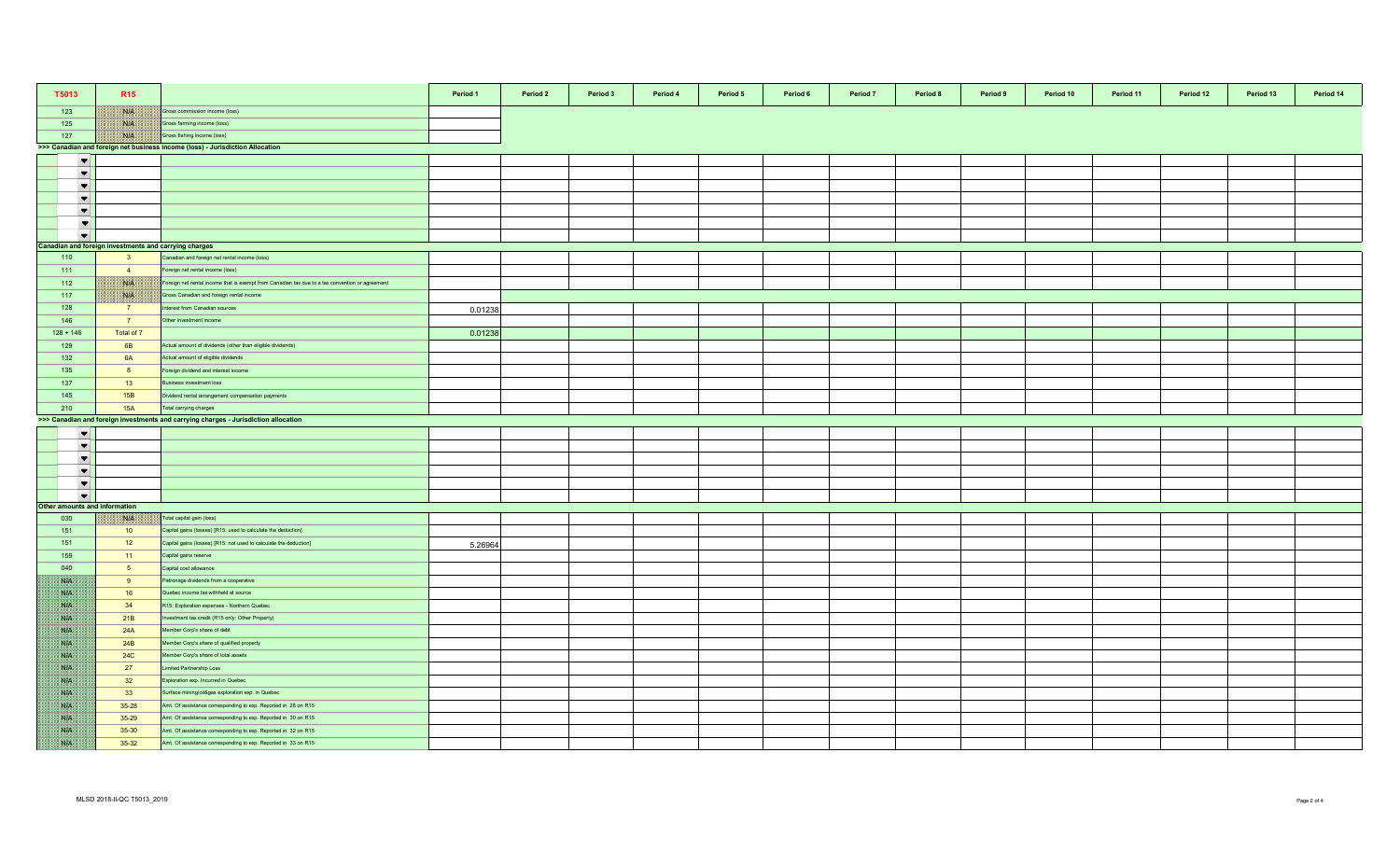| T5013                                                 | R <sub>15</sub>                                       |                                                                                                              | Period 1 | Period 2 | Period 3 | Period 4 | Period 5 | Period 6 | Period 7 | Period 8 | Period 9 | Period 10 | Period 11 | Period 12 | Period 13 | Period 14 |
|-------------------------------------------------------|-------------------------------------------------------|--------------------------------------------------------------------------------------------------------------|----------|----------|----------|----------|----------|----------|----------|----------|----------|-----------|-----------|-----------|-----------|-----------|
| 123                                                   |                                                       | Gross commission income (loss)                                                                               |          |          |          |          |          |          |          |          |          |           |           |           |           |           |
|                                                       | WK                                                    |                                                                                                              |          |          |          |          |          |          |          |          |          |           |           |           |           |           |
| 125                                                   | Bilb.,                                                | Gross farming income (loss)                                                                                  |          |          |          |          |          |          |          |          |          |           |           |           |           |           |
| 127                                                   | NIA                                                   | Gross fishing income (loss)<br>>>> Canadian and foreign net business income (loss) - Jurisdiction Allocation |          |          |          |          |          |          |          |          |          |           |           |           |           |           |
|                                                       |                                                       |                                                                                                              |          |          |          |          |          |          |          |          |          |           |           |           |           |           |
| $\overline{\phantom{a}}$                              |                                                       |                                                                                                              |          |          |          |          |          |          |          |          |          |           |           |           |           |           |
| $\overline{\phantom{a}}$<br>$\vert \bm{\nabla} \vert$ |                                                       |                                                                                                              |          |          |          |          |          |          |          |          |          |           |           |           |           |           |
|                                                       |                                                       |                                                                                                              |          |          |          |          |          |          |          |          |          |           |           |           |           |           |
| $\overline{\phantom{a}}$                              |                                                       |                                                                                                              |          |          |          |          |          |          |          |          |          |           |           |           |           |           |
| $\blacktriangledown$                                  |                                                       |                                                                                                              |          |          |          |          |          |          |          |          |          |           |           |           |           |           |
| $\blacktriangledown$<br>$\bullet$                     |                                                       |                                                                                                              |          |          |          |          |          |          |          |          |          |           |           |           |           |           |
|                                                       | Canadian and foreign investments and carrying charges |                                                                                                              |          |          |          |          |          |          |          |          |          |           |           |           |           |           |
| 110                                                   | $\overline{\mathbf{3}}$                               | Canadian and foreign net rental income (loss)                                                                |          |          |          |          |          |          |          |          |          |           |           |           |           |           |
| 111                                                   | $\overline{4}$                                        | Foreign net rental income (loss)                                                                             |          |          |          |          |          |          |          |          |          |           |           |           |           |           |
| 112                                                   | NA                                                    | Foreign net rental income that is exempt from Canadian tax due to a tax convention or agreement              |          |          |          |          |          |          |          |          |          |           |           |           |           |           |
| 117                                                   | BUD.                                                  | Gross Canadian and foreign rental income                                                                     |          |          |          |          |          |          |          |          |          |           |           |           |           |           |
| 128                                                   | $\overline{7}$                                        | Interest from Canadian sources                                                                               | 0.01238  |          |          |          |          |          |          |          |          |           |           |           |           |           |
| 146                                                   | 7 <sup>7</sup>                                        | Other investment income                                                                                      |          |          |          |          |          |          |          |          |          |           |           |           |           |           |
| $128 + 146$                                           | Total of 7                                            |                                                                                                              | 0.01238  |          |          |          |          |          |          |          |          |           |           |           |           |           |
| 129                                                   | 6 <b>B</b>                                            | Actual amount of dividends (other than eligible dividends)                                                   |          |          |          |          |          |          |          |          |          |           |           |           |           |           |
| 132                                                   | 6A                                                    | Actual amount of eligible dividends                                                                          |          |          |          |          |          |          |          |          |          |           |           |           |           |           |
| 135                                                   | 8                                                     | Foreign dividend and interest income                                                                         |          |          |          |          |          |          |          |          |          |           |           |           |           |           |
| 137                                                   | 13                                                    | Business investment loss                                                                                     |          |          |          |          |          |          |          |          |          |           |           |           |           |           |
| 145                                                   | 15B                                                   | Dividend rental arrangement compensation payments                                                            |          |          |          |          |          |          |          |          |          |           |           |           |           |           |
| 210                                                   | 15A                                                   | Total carrying charges                                                                                       |          |          |          |          |          |          |          |          |          |           |           |           |           |           |
|                                                       |                                                       | >>> Canadian and foreign investments and carrying charges - Jurisdiction allocation                          |          |          |          |          |          |          |          |          |          |           |           |           |           |           |
| $\blacktriangledown$                                  |                                                       |                                                                                                              |          |          |          |          |          |          |          |          |          |           |           |           |           |           |
| $\overline{\phantom{a}}$                              |                                                       |                                                                                                              |          |          |          |          |          |          |          |          |          |           |           |           |           |           |
| $\blacktriangledown$                                  |                                                       |                                                                                                              |          |          |          |          |          |          |          |          |          |           |           |           |           |           |
| $\blacktriangledown$                                  |                                                       |                                                                                                              |          |          |          |          |          |          |          |          |          |           |           |           |           |           |
| $\blacktriangledown$                                  |                                                       |                                                                                                              |          |          |          |          |          |          |          |          |          |           |           |           |           |           |
| $\blacktriangledown$                                  |                                                       |                                                                                                              |          |          |          |          |          |          |          |          |          |           |           |           |           |           |
| Other amounts and information                         |                                                       |                                                                                                              |          |          |          |          |          |          |          |          |          |           |           |           |           |           |
| 030                                                   | Nik                                                   | Total capital gain (loss)                                                                                    |          |          |          |          |          |          |          |          |          |           |           |           |           |           |
| 151                                                   | 10                                                    | Capital gains (losses) [R15: used to calculate the deduction]                                                |          |          |          |          |          |          |          |          |          |           |           |           |           |           |
| 151                                                   | 12                                                    | Capital gains (losses) [R15: not used to calculate the deduction]                                            | 5.26964  |          |          |          |          |          |          |          |          |           |           |           |           |           |
| 159                                                   | 11                                                    | Capital gains reserve                                                                                        |          |          |          |          |          |          |          |          |          |           |           |           |           |           |
| 040                                                   | 5 <sub>1</sub>                                        | Capital cost allowance                                                                                       |          |          |          |          |          |          |          |          |          |           |           |           |           |           |
| <b>SUA</b>                                            | 9                                                     | Patronage dividends from a cooperative                                                                       |          |          |          |          |          |          |          |          |          |           |           |           |           |           |
| N.                                                    | 16                                                    | Quebec income tax withheld at source                                                                         |          |          |          |          |          |          |          |          |          |           |           |           |           |           |
| NB.                                                   | 34                                                    | R15: Exploration expenses - Northern Quebec                                                                  |          |          |          |          |          |          |          |          |          |           |           |           |           |           |
| 外科                                                    | 21B                                                   | Investment tax credit (R15 only: Other Property)                                                             |          |          |          |          |          |          |          |          |          |           |           |           |           |           |
| <b>BAFE</b>                                           | 24A                                                   | Member Corp's share of debt                                                                                  |          |          |          |          |          |          |          |          |          |           |           |           |           |           |
| N.B                                                   | 24B                                                   | Member Corp's share of qualified property                                                                    |          |          |          |          |          |          |          |          |          |           |           |           |           |           |
| <b>RATION</b>                                         | <b>24C</b>                                            | Member Corp's share of total assets                                                                          |          |          |          |          |          |          |          |          |          |           |           |           |           |           |
| <b>Side</b>                                           | 27                                                    | Limited Partnership Loss                                                                                     |          |          |          |          |          |          |          |          |          |           |           |           |           |           |
| 38. ISB                                               | 32                                                    | Exploration exp. Incurred in Quebec                                                                          |          |          |          |          |          |          |          |          |          |           |           |           |           |           |
| NP                                                    | 33                                                    | Surface mining/oil&gas exploration exp. in Quebec                                                            |          |          |          |          |          |          |          |          |          |           |           |           |           |           |
| NB.                                                   | $35 - 28$                                             | Amt. Of assistance corresponding to exp. Reported in 28 on R15                                               |          |          |          |          |          |          |          |          |          |           |           |           |           |           |
| 外科                                                    | $35-29$                                               | Amt. Of assistance corresponding to exp. Reported in 30 on R15                                               |          |          |          |          |          |          |          |          |          |           |           |           |           |           |
| <b>SALE</b>                                           | 35-30                                                 | Amt. Of assistance corresponding to exp. Reported in 32 on R15                                               |          |          |          |          |          |          |          |          |          |           |           |           |           |           |
| <b>SALES</b>                                          | $35 - 32$                                             | Amt. Of assistance corresponding to exp. Reported in 33 on R15                                               |          |          |          |          |          |          |          |          |          |           |           |           |           |           |
|                                                       |                                                       |                                                                                                              |          |          |          |          |          |          |          |          |          |           |           |           |           |           |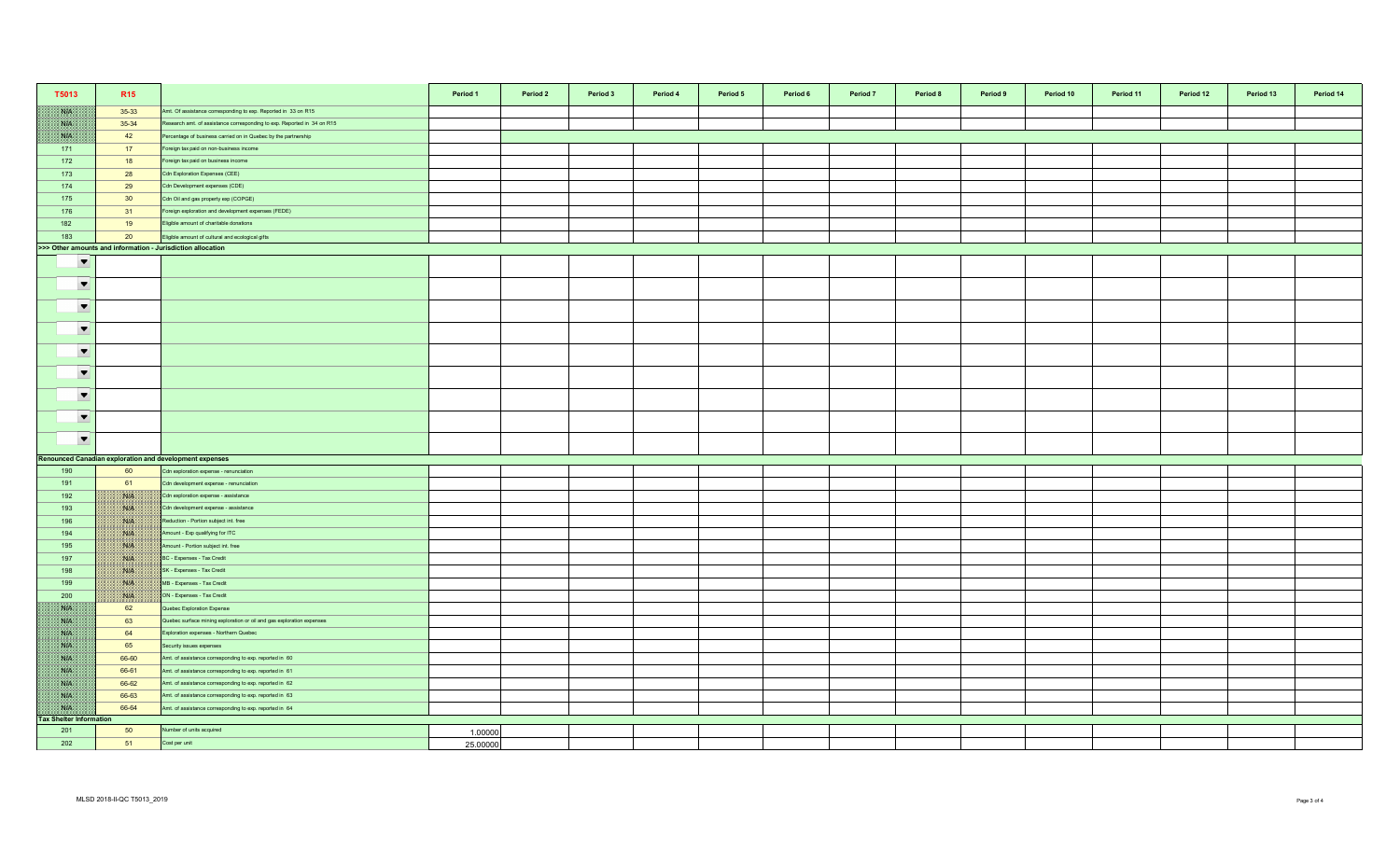| T5013                          | R <sub>15</sub> |                                                                         | Period 1 | Period 2 | Period 3 | Period 4 | Period 5 | Period 6 | Period 7 | Period 8 | Period 9 | Period 10 | Period 11 | Period 12 | Period 13 | Period 14 |
|--------------------------------|-----------------|-------------------------------------------------------------------------|----------|----------|----------|----------|----------|----------|----------|----------|----------|-----------|-----------|-----------|-----------|-----------|
| NK                             | 35-33           | Amt. Of assistance corresponding to exp. Reported in 33 on R15          |          |          |          |          |          |          |          |          |          |           |           |           |           |           |
| WK                             | 35-34           | Research amt. of assistance corresponding to exp. Reported in 34 on R15 |          |          |          |          |          |          |          |          |          |           |           |           |           |           |
| NB                             | 42              | Percentage of business carried on in Quebec by the partnership          |          |          |          |          |          |          |          |          |          |           |           |           |           |           |
| 171                            | 17              | Foreign tax paid on non-business income                                 |          |          |          |          |          |          |          |          |          |           |           |           |           |           |
| 172                            | 18              | Foreign tax paid on business income                                     |          |          |          |          |          |          |          |          |          |           |           |           |           |           |
| 173                            | 28              | Cdn Exploration Expenses (CEE)                                          |          |          |          |          |          |          |          |          |          |           |           |           |           |           |
| 174                            | 29              | Cdn Development expenses (CDE)                                          |          |          |          |          |          |          |          |          |          |           |           |           |           |           |
| 175                            | 30 <sup>°</sup> | Cdn Oil and gas property exp (COPGE)                                    |          |          |          |          |          |          |          |          |          |           |           |           |           |           |
| 176                            | 31              | Foreign exploration and development expenses (FEDE)                     |          |          |          |          |          |          |          |          |          |           |           |           |           |           |
| 182                            | 19              | Eligible amount of charitable donations                                 |          |          |          |          |          |          |          |          |          |           |           |           |           |           |
| 183                            | 20              | Eligible amount of cultural and ecological gifts                        |          |          |          |          |          |          |          |          |          |           |           |           |           |           |
|                                |                 | >>> Other amounts and information - Jurisdiction allocation             |          |          |          |          |          |          |          |          |          |           |           |           |           |           |
| $\overline{\phantom{0}}$       |                 |                                                                         |          |          |          |          |          |          |          |          |          |           |           |           |           |           |
| $\blacktriangledown$           |                 |                                                                         |          |          |          |          |          |          |          |          |          |           |           |           |           |           |
| $\blacktriangledown$           |                 |                                                                         |          |          |          |          |          |          |          |          |          |           |           |           |           |           |
| $\blacktriangledown$           |                 |                                                                         |          |          |          |          |          |          |          |          |          |           |           |           |           |           |
| $\blacktriangledown$           |                 |                                                                         |          |          |          |          |          |          |          |          |          |           |           |           |           |           |
| $\blacktriangledown$           |                 |                                                                         |          |          |          |          |          |          |          |          |          |           |           |           |           |           |
| $\blacktriangledown$           |                 |                                                                         |          |          |          |          |          |          |          |          |          |           |           |           |           |           |
| $\blacktriangledown$           |                 |                                                                         |          |          |          |          |          |          |          |          |          |           |           |           |           |           |
| $\blacktriangledown$           |                 |                                                                         |          |          |          |          |          |          |          |          |          |           |           |           |           |           |
|                                |                 | Renounced Canadian exploration and development expenses                 |          |          |          |          |          |          |          |          |          |           |           |           |           |           |
| 190                            | 60              | Cdn exploration expense - renunciation                                  |          |          |          |          |          |          |          |          |          |           |           |           |           |           |
| 191                            | 61              | Cdn development expense - renunciation                                  |          |          |          |          |          |          |          |          |          |           |           |           |           |           |
| 192                            | BUS.            | Cdn exploration expense - assistance                                    |          |          |          |          |          |          |          |          |          |           |           |           |           |           |
| 193                            | NB              | Cdn development expense - assistance                                    |          |          |          |          |          |          |          |          |          |           |           |           |           |           |
| 196                            | <b>NIK</b>      | Reduction - Portion subject int. free                                   |          |          |          |          |          |          |          |          |          |           |           |           |           |           |
| 194                            | W               | Amount - Exp qualifying for ITC                                         |          |          |          |          |          |          |          |          |          |           |           |           |           |           |
| 195                            | WIN             | Amount - Portion subject int. free                                      |          |          |          |          |          |          |          |          |          |           |           |           |           |           |
| 197                            | NIA             | BC - Expenses - Tax Credit                                              |          |          |          |          |          |          |          |          |          |           |           |           |           |           |
| 198                            | NA              | SK - Expenses - Tax Credit                                              |          |          |          |          |          |          |          |          |          |           |           |           |           |           |
| 199                            | <b>NOTE</b>     | MB - Expenses - Tax Credit                                              |          |          |          |          |          |          |          |          |          |           |           |           |           |           |
| 200                            | <b>ISLA</b>     | ON - Expenses - Tax Credit                                              |          |          |          |          |          |          |          |          |          |           |           |           |           |           |
| NB                             | 62              | Quebec Exploration Expense                                              |          |          |          |          |          |          |          |          |          |           |           |           |           |           |
| NK                             | 63              | Quebec surface mining exploration or oil and gas exploration expenses   |          |          |          |          |          |          |          |          |          |           |           |           |           |           |
| <b>SATIS</b>                   | 64              | Exploration expenses - Northern Quebec                                  |          |          |          |          |          |          |          |          |          |           |           |           |           |           |
| NB                             | 65              | Security issues expenses                                                |          |          |          |          |          |          |          |          |          |           |           |           |           |           |
| NK                             | 66-60           | Amt. of assistance corresponding to exp. reported in 60                 |          |          |          |          |          |          |          |          |          |           |           |           |           |           |
| <b>SYLVEN</b>                  | 66-61           | Amt. of assistance corresponding to exp. reported in 61                 |          |          |          |          |          |          |          |          |          |           |           |           |           |           |
| NK                             | 66-62           | Amt. of assistance corresponding to exp. reported in 62                 |          |          |          |          |          |          |          |          |          |           |           |           |           |           |
| XVI.                           | 66-63           | Amt. of assistance corresponding to exp. reported in 63                 |          |          |          |          |          |          |          |          |          |           |           |           |           |           |
| WH                             | 66-64           | Amt. of assistance corresponding to exp. reported in 64                 |          |          |          |          |          |          |          |          |          |           |           |           |           |           |
| <b>Tax Shelter Information</b> |                 |                                                                         |          |          |          |          |          |          |          |          |          |           |           |           |           |           |
| 201                            | 50              | Number of units acquired                                                | 1.00000  |          |          |          |          |          |          |          |          |           |           |           |           |           |
| 202                            | 51              | Cost per unit                                                           | 25.00000 |          |          |          |          |          |          |          |          |           |           |           |           |           |